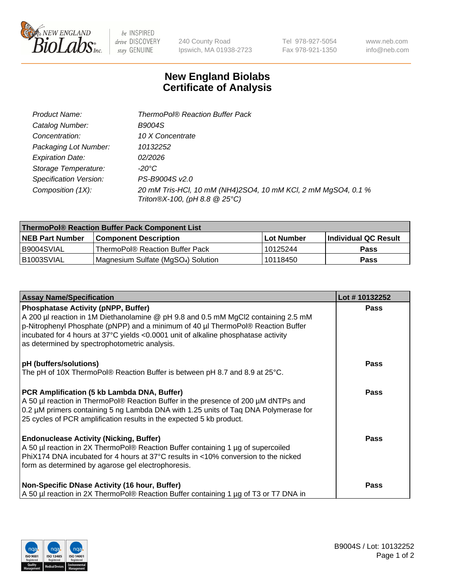

 $be$  INSPIRED drive DISCOVERY stay GENUINE

240 County Road Ipswich, MA 01938-2723 Tel 978-927-5054 Fax 978-921-1350

www.neb.com info@neb.com

## **New England Biolabs Certificate of Analysis**

| Product Name:           | <b>ThermoPol® Reaction Buffer Pack</b>                                                         |
|-------------------------|------------------------------------------------------------------------------------------------|
| Catalog Number:         | <b>B9004S</b>                                                                                  |
| Concentration:          | 10 X Concentrate                                                                               |
| Packaging Lot Number:   | 10132252                                                                                       |
| <b>Expiration Date:</b> | 02/2026                                                                                        |
| Storage Temperature:    | -20°C                                                                                          |
| Specification Version:  | PS-B9004S v2.0                                                                                 |
| Composition (1X):       | 20 mM Tris-HCl, 10 mM (NH4)2SO4, 10 mM KCl, 2 mM MgSO4, 0.1 %<br>Triton®X-100, (pH 8.8 @ 25°C) |

| ThermoPol® Reaction Buffer Pack Component List |                                                 |             |                             |  |
|------------------------------------------------|-------------------------------------------------|-------------|-----------------------------|--|
| <b>NEB Part Number</b>                         | <b>Component Description</b>                    | ⊺Lot Number | <b>Individual QC Result</b> |  |
| I B9004SVIAL                                   | ThermoPol® Reaction Buffer Pack                 | 10125244    | <b>Pass</b>                 |  |
| IB1003SVIAL                                    | Magnesium Sulfate (MgSO <sub>4</sub> ) Solution | 10118450    | <b>Pass</b>                 |  |

| <b>Assay Name/Specification</b>                                                                                                                                                                                                                                                                                                                             | Lot #10132252 |
|-------------------------------------------------------------------------------------------------------------------------------------------------------------------------------------------------------------------------------------------------------------------------------------------------------------------------------------------------------------|---------------|
| <b>Phosphatase Activity (pNPP, Buffer)</b><br>A 200 µl reaction in 1M Diethanolamine @ pH 9.8 and 0.5 mM MgCl2 containing 2.5 mM<br>p-Nitrophenyl Phosphate (pNPP) and a minimum of 40 µl ThermoPol® Reaction Buffer<br>incubated for 4 hours at 37°C yields <0.0001 unit of alkaline phosphatase activity<br>as determined by spectrophotometric analysis. | <b>Pass</b>   |
| pH (buffers/solutions)<br>The pH of 10X ThermoPol® Reaction Buffer is between pH 8.7 and 8.9 at 25°C.                                                                                                                                                                                                                                                       | <b>Pass</b>   |
| PCR Amplification (5 kb Lambda DNA, Buffer)<br>A 50 µl reaction in ThermoPol® Reaction Buffer in the presence of 200 µM dNTPs and<br>0.2 µM primers containing 5 ng Lambda DNA with 1.25 units of Taq DNA Polymerase for<br>25 cycles of PCR amplification results in the expected 5 kb product.                                                            | <b>Pass</b>   |
| <b>Endonuclease Activity (Nicking, Buffer)</b><br>A 50 µl reaction in 2X ThermoPol® Reaction Buffer containing 1 µg of supercoiled<br>PhiX174 DNA incubated for 4 hours at 37°C results in <10% conversion to the nicked<br>form as determined by agarose gel electrophoresis.                                                                              | <b>Pass</b>   |
| Non-Specific DNase Activity (16 hour, Buffer)<br>A 50 µl reaction in 2X ThermoPol® Reaction Buffer containing 1 µg of T3 or T7 DNA in                                                                                                                                                                                                                       | <b>Pass</b>   |